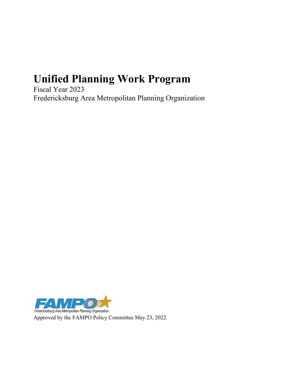# **Unified Planning Work Program**

Fiscal Year 2023 Fredericksburg Area Metropolitan Planning Organization



Approved by the FAMPO Policy Committee May 23, 2022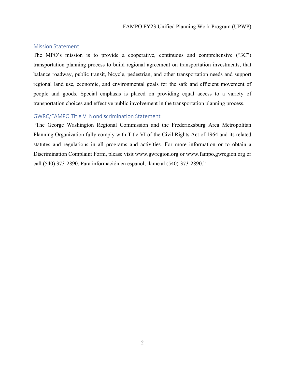#### <span id="page-1-0"></span>Mission Statement

The MPO's mission is to provide a cooperative, continuous and comprehensive ("3C") transportation planning process to build regional agreement on transportation investments, that balance roadway, public transit, bicycle, pedestrian, and other transportation needs and support regional land use, economic, and environmental goals for the safe and efficient movement of people and goods. Special emphasis is placed on providing equal access to a variety of transportation choices and effective public involvement in the transportation planning process.

#### <span id="page-1-1"></span>GWRC/FAMPO Title VI Nondiscrimination Statement

"The George Washington Regional Commission and the Fredericksburg Area Metropolitan Planning Organization fully comply with Title VI of the Civil Rights Act of 1964 and its related statutes and regulations in all programs and activities. For more information or to obtain a Discrimination Complaint Form, please visit www.gwregion.org or www.fampo.gwregion.org or call (540) 373-2890. Para información en español, llame al (540)-373-2890."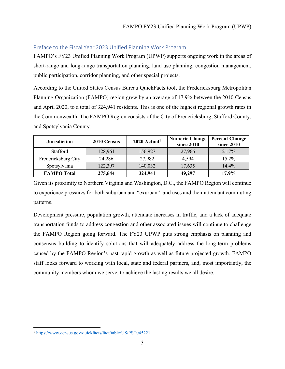#### <span id="page-2-1"></span>Preface to the Fiscal Year 2023 Unified Planning Work Program

FAMPO's FY23 Unified Planning Work Program (UPWP) supports ongoing work in the areas of short-range and long-range transportation planning, land use planning, congestion management, public participation, corridor planning, and other special projects.

According to the United States Census Bureau QuickFacts tool, the Fredericksburg Metropolitan Planning Organization (FAMPO) region grew by an average of 17.9% between the 2010 Census and April 2020, to a total of 324,941 residents. This is one of the highest regional growth rates in the Commonwealth. The FAMPO Region consists of the City of Fredericksburg, Stafford County, and Spotsylvania County.

| <b>Jurisdiction</b> | 2010 Census | $2020$ Actual <sup>1</sup> | <b>Numeric Change</b><br>since 2010 | <b>Percent Change</b><br>since 2010 |
|---------------------|-------------|----------------------------|-------------------------------------|-------------------------------------|
| Stafford            | 128,961     | 156,927                    | 27,966                              | 21.7%                               |
| Fredericksburg City | 24,286      | 27,982                     | 4,594                               | $15.2\%$                            |
| Spotsylvania        | 122,397     | 140,032                    | 17,635                              | 14.4%                               |
| <b>FAMPO Total</b>  | 275,644     | 324,941                    | 49,297                              | 17.9%                               |

Given its proximity to Northern Virginia and Washington, D.C., the FAMPO Region will continue to experience pressures for both suburban and "exurban" land uses and their attendant commuting patterns.

Development pressure, population growth, attenuate increases in traffic, and a lack of adequate transportation funds to address congestion and other associated issues will continue to challenge the FAMPO Region going forward. The FY23 UPWP puts strong emphasis on planning and consensus building to identify solutions that will adequately address the long-term problems caused by the FAMPO Region's past rapid growth as well as future projected growth. FAMPO staff looks forward to working with local, state and federal partners, and, most importantly, the community members whom we serve, to achieve the lasting results we all desire.

<span id="page-2-0"></span><sup>1</sup> <https://www.census.gov/quickfacts/fact/table/US/PST045221>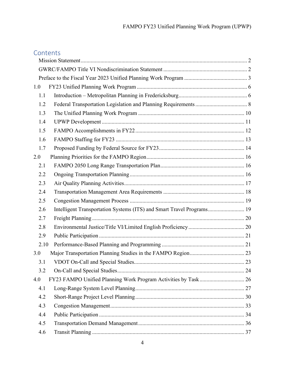# **Contents**

| 1.0  |                                                                       |  |
|------|-----------------------------------------------------------------------|--|
| 1.1  |                                                                       |  |
| 1.2  |                                                                       |  |
| 1.3  |                                                                       |  |
| 1.4  |                                                                       |  |
| 1.5  |                                                                       |  |
| 1.6  |                                                                       |  |
| 1.7  |                                                                       |  |
| 2.0  |                                                                       |  |
| 2.1  |                                                                       |  |
| 2.2  |                                                                       |  |
| 2.3  |                                                                       |  |
| 2.4  |                                                                       |  |
| 2.5  |                                                                       |  |
| 2.6  | Intelligent Transportation Systems (ITS) and Smart Travel Programs 19 |  |
| 2.7  |                                                                       |  |
| 2.8  |                                                                       |  |
| 2.9  |                                                                       |  |
| 2.10 |                                                                       |  |
| 3.0  |                                                                       |  |
| 3.1  |                                                                       |  |
| 3.2  |                                                                       |  |
| 4.0  | FY23 FAMPO Unified Planning Work Program Activities by Task 26        |  |
| 4.1  |                                                                       |  |
| 4.2  |                                                                       |  |
| 4.3  |                                                                       |  |
| 4.4  |                                                                       |  |
| 4.5  |                                                                       |  |
| 4.6  |                                                                       |  |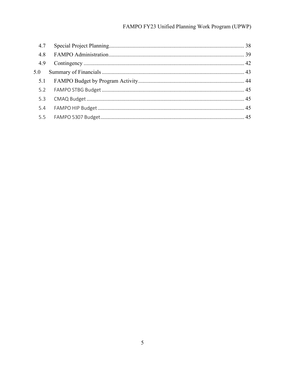# FAMPO FY23 Unified Planning Work Program (UPWP)

| 4.7 |  |
|-----|--|
| 4.8 |  |
| 4.9 |  |
| 5.0 |  |
|     |  |
|     |  |
|     |  |
| 5.4 |  |
|     |  |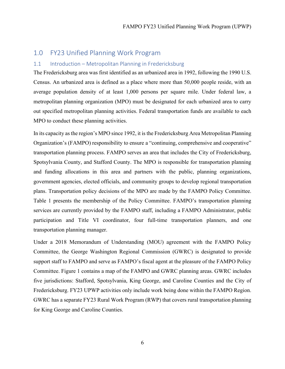# <span id="page-5-0"></span>1.0 FY23 Unified Planning Work Program

#### <span id="page-5-1"></span>1.1 Introduction – Metropolitan Planning in Fredericksburg

The Fredericksburg area was first identified as an urbanized area in 1992, following the 1990 U.S. Census. An urbanized area is defined as a place where more than 50,000 people reside, with an average population density of at least 1,000 persons per square mile. Under federal law, a metropolitan planning organization (MPO) must be designated for each urbanized area to carry out specified metropolitan planning activities. Federal transportation funds are available to each MPO to conduct these planning activities.

In its capacity as the region's MPO since 1992, it is the Fredericksburg Area Metropolitan Planning Organization's (FAMPO) responsibility to ensure a "continuing, comprehensive and cooperative" transportation planning process. FAMPO serves an area that includes the City of Fredericksburg, Spotsylvania County, and Stafford County. The MPO is responsible for transportation planning and funding allocations in this area and partners with the public, planning organizations, government agencies, elected officials, and community groups to develop regional transportation plans. Transportation policy decisions of the MPO are made by the FAMPO Policy Committee. Table 1 presents the membership of the Policy Committee. FAMPO's transportation planning services are currently provided by the FAMPO staff, including a FAMPO Administrator, public participation and Title VI coordinator, four full-time transportation planners, and one transportation planning manager.

Under a 2018 Memorandum of Understanding (MOU) agreement with the FAMPO Policy Committee, the George Washington Regional Commission (GWRC) is designated to provide support staff to FAMPO and serve as FAMPO's fiscal agent at the pleasure of the FAMPO Policy Committee. Figure 1 contains a map of the FAMPO and GWRC planning areas. GWRC includes five jurisdictions: Stafford, Spotsylvania, King George, and Caroline Counties and the City of Fredericksburg. FY23 UPWP activities only include work being done within the FAMPO Region. GWRC has a separate FY23 Rural Work Program (RWP) that covers rural transportation planning for King George and Caroline Counties.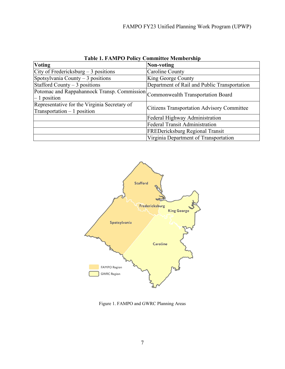| Table 1. PAINT O TURY CUMMITTE MUMBU SHIP                                                      |                                                   |
|------------------------------------------------------------------------------------------------|---------------------------------------------------|
| <b>Voting</b>                                                                                  | Non-voting                                        |
| City of Fredericksburg $-3$ positions                                                          | Caroline County                                   |
| Spotsylvania County $-3$ positions                                                             | King George County                                |
| Stafford County $-3$ positions                                                                 | Department of Rail and Public Transportation      |
| Potomac and Rappahannock Transp. Commission Commonwealth Transportation Board<br>$-1$ position |                                                   |
| Representative for the Virginia Secretary of<br>$\text{Transportion} - 1$ position             | <b>Citizens Transportation Advisory Committee</b> |
|                                                                                                | Federal Highway Administration                    |
|                                                                                                | <b>Federal Transit Administration</b>             |
|                                                                                                | <b>FREDericksburg Regional Transit</b>            |
|                                                                                                | Virginia Department of Transportation             |

**Table 1. FAMPO Policy Committee Membership**



Figure 1. FAMPO and GWRC Planning Areas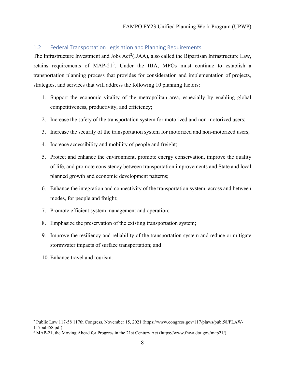#### <span id="page-7-0"></span>1.2 Federal Transportation Legislation and Planning Requirements

The Infrastructure Investment and Jobs  $Act^2(IIAA)$  $Act^2(IIAA)$  $Act^2(IIAA)$ , also called the Bipartisan Infrastructure Law, retains requirements of MAP-21<sup>[3](#page-7-2)</sup>. Under the IIJA, MPOs must continue to establish a transportation planning process that provides for consideration and implementation of projects, strategies, and services that will address the following 10 planning factors:

- 1. Support the economic vitality of the metropolitan area, especially by enabling global competitiveness, productivity, and efficiency;
- 2. Increase the safety of the transportation system for motorized and non-motorized users;
- 3. Increase the security of the transportation system for motorized and non-motorized users;
- 4. Increase accessibility and mobility of people and freight;
- 5. Protect and enhance the environment, promote energy conservation, improve the quality of life, and promote consistency between transportation improvements and State and local planned growth and economic development patterns;
- 6. Enhance the integration and connectivity of the transportation system, across and between modes, for people and freight;
- 7. Promote efficient system management and operation;
- 8. Emphasize the preservation of the existing transportation system;
- 9. Improve the resiliency and reliability of the transportation system and reduce or mitigate stormwater impacts of surface transportation; and
- 10. Enhance travel and tourism.

<span id="page-7-1"></span><sup>2</sup> Public Law 117-58 117th Congress, November 15, 2021 (https://www.congress.gov/117/plaws/publ58/PLAW-117publ58.pdf)

<span id="page-7-2"></span><sup>3</sup> MAP-21, the Moving Ahead for Progress in the 21st Century Act (https://www.fhwa.dot.gov/map21/)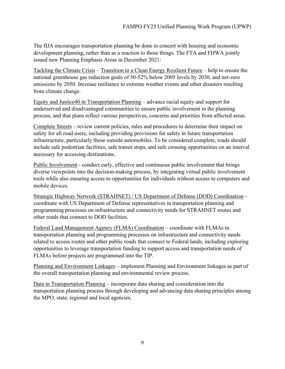The IIJA encourages transportation planning be done in concert with housing and economic development planning, rather than as a reaction to those things. The FTA and FHWA jointly issued new Planning Emphasis Areas in December 2021:

Tackling the Climate Crisis – Transition to a Clean Energy Resilient Future – help to ensure the national greenhouse gas reduction goals of 50-52% below 2005 levels by 2030, and net-zero emissions by 2050. Increase resilience to extreme weather events and other disasters resulting from climate change.

Equity and Justice40 in Transportation Planning – advance racial equity and support for underserved and disadvantaged communities to ensure public involvement in the planning process, and that plans reflect various perspectives, concerns and priorities from affected areas.

Complete Streets – review current policies, rules and procedures to determine their impact on safety for all road users, including providing provisions for safety in future transportation infrastructure, particularly those outside automobiles. To be considered complete, roads should include safe pedestrian facilities, safe transit stops, and safe crossing opportunities on an interval necessary for accessing destinations.

Public Involvement - conduct early, effective and continuous public involvement that brings diverse viewpoints into the decision-making process, by integrating virtual public involvement tools while also ensuring access to opportunities for individuals without access to computers and mobile devices.

Strategic Highway Network (STRAHNET) / US Department of Defense (DOD) Coordination – coordinate with US Department of Defense representatives in transportation planning and programming processes on infrastructure and connectivity needs for STRAHNET routes and other roads that connect to DOD facilities.

Federal Land Management Agency (FLMA) Coordination – coordinate with FLMAs in transportation planning and programming processes on infrastructure and connectivity needs related to access routes and other public roads that connect to Federal lands, including exploring opportunities to leverage transportation funding to support access and transportation needs of FLMAs before projects are programmed into the TIP.

Planning and Environment Linkages – implement Planning and Environment linkages as part of the overall transportation planning and environmental review process.

Data in Transportation Planning – incorporate data sharing and consideration into the transportation planning process through developing and advancing data sharing principles among the MPO, state, regional and local agencies.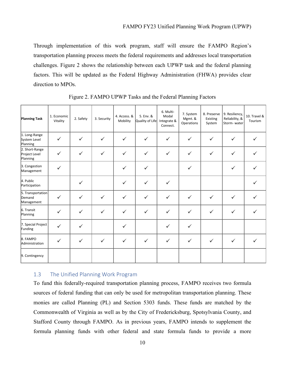Through implementation of this work program, staff will ensure the FAMPO Region's transportation planning process meets the federal requirements and addresses local transportation challenges. Figure 2 shows the relationship between each UPWP task and the federal planning factors. This will be updated as the Federal Highway Administration (FHWA) provides clear direction to MPOs.

| <b>Planning Task</b>                        | 1. Economic<br>Vitality | 2. Safety    | 3. Security  | 4. Access. &<br>Mobility | 5. Env. &<br>Quality of Life | 6. Multi-<br>Modal<br>Integrate &<br>Connect. | 7. System<br>Mgmt. &<br>Operations | 8. Preserve<br>Existing<br>System | 9. Resiliency,<br>Reliability, &<br>Storm-water | 10. Travel &<br>Tourism |
|---------------------------------------------|-------------------------|--------------|--------------|--------------------------|------------------------------|-----------------------------------------------|------------------------------------|-----------------------------------|-------------------------------------------------|-------------------------|
| 1. Long-Range<br>System Level<br>Planning   | $\checkmark$            | $\checkmark$ | $\checkmark$ | $\checkmark$             | $\checkmark$                 | $\checkmark$                                  | $\checkmark$                       | $\checkmark$                      | $\checkmark$                                    |                         |
| 2. Short-Range<br>Project Level<br>Planning | ✓                       | $\checkmark$ | $\checkmark$ | $\checkmark$             | $\checkmark$                 | $\checkmark$                                  | $\checkmark$                       | $\checkmark$                      | $\checkmark$                                    |                         |
| 3. Congestion<br>Management                 | $\checkmark$            |              |              | $\checkmark$             | $\checkmark$                 |                                               | $\checkmark$                       |                                   | $\checkmark$                                    |                         |
| 4. Public<br>Participation                  |                         | $\checkmark$ |              | $\checkmark$             | $\checkmark$                 | $\checkmark$                                  |                                    |                                   |                                                 |                         |
| 5. Transportation<br>Demand<br>Management   | $\checkmark$            | $\checkmark$ | $\checkmark$ | $\checkmark$             | $\checkmark$                 | $\checkmark$                                  | $\checkmark$                       | $\checkmark$                      | $\checkmark$                                    |                         |
| 6. Transit<br>Planning                      | $\checkmark$            | $\checkmark$ | $\checkmark$ | $\checkmark$             | $\checkmark$                 | $\checkmark$                                  | $\checkmark$                       | $\checkmark$                      | $\checkmark$                                    |                         |
| 7. Special Project<br>Funding               | $\checkmark$            | $\checkmark$ |              | $\checkmark$             |                              | $\checkmark$                                  | $\checkmark$                       |                                   |                                                 |                         |
| 8. FAMPO<br>Administration                  | ✓                       | $\checkmark$ | $\checkmark$ | $\checkmark$             | $\checkmark$                 | $\checkmark$                                  | $\checkmark$                       | $\checkmark$                      | $\checkmark$                                    |                         |
| 9. Contingency                              |                         |              |              |                          |                              |                                               |                                    |                                   |                                                 |                         |

Figure 2. FAMPO UPWP Tasks and the Federal Planning Factors

#### <span id="page-9-0"></span>1.3 The Unified Planning Work Program

To fund this federally-required transportation planning process, FAMPO receives two formula sources of federal funding that can only be used for metropolitan transportation planning. These monies are called Planning (PL) and Section 5303 funds. These funds are matched by the Commonwealth of Virginia as well as by the City of Fredericksburg, Spotsylvania County, and Stafford County through FAMPO. As in previous years, FAMPO intends to supplement the formula planning funds with other federal and state formula funds to provide a more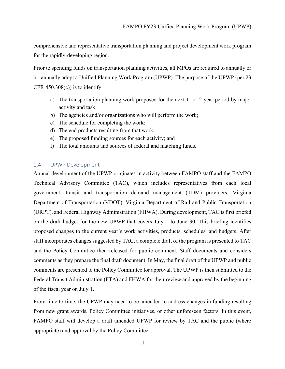comprehensive and representative transportation planning and project development work program for the rapidly-developing region.

Prior to spending funds on transportation planning activities, all MPOs are required to annually or bi- annually adopt a Unified Planning Work Program (UPWP). The purpose of the UPWP (per 23 CFR  $450.308(c)$ ) is to identify:

- a) The transportation planning work proposed for the next 1- or 2-year period by major activity and task;
- b) The agencies and/or organizations who will perform the work;
- c) The schedule for completing the work;
- d) The end products resulting from that work;
- e) The proposed funding sources for each activity; and
- f) The total amounts and sources of federal and matching funds.

#### <span id="page-10-0"></span>1.4 UPWP Development

Annual development of the UPWP originates in activity between FAMPO staff and the FAMPO Technical Advisory Committee (TAC), which includes representatives from each local government, transit and transportation demand management (TDM) providers, Virginia Department of Transportation (VDOT), Virginia Department of Rail and Public Transportation (DRPT), and Federal Highway Administration (FHWA). During development, TAC is first briefed on the draft budget for the new UPWP that covers July 1 to June 30. This briefing identifies proposed changes to the current year's work activities, products, schedules, and budgets. After staff incorporates changes suggested by TAC, a complete draft of the program is presented to TAC and the Policy Committee then released for public comment. Staff documents and considers comments as they prepare the final draft document. In May, the final draft of the UPWP and public comments are presented to the Policy Committee for approval. The UPWP is then submitted to the Federal Transit Administration (FTA) and FHWA for their review and approved by the beginning of the fiscal year on July 1.

From time to time, the UPWP may need to be amended to address changes in funding resulting from new grant awards, Policy Committee initiatives, or other unforeseen factors. In this event, FAMPO staff will develop a draft amended UPWP for review by TAC and the public (where appropriate) and approval by the Policy Committee.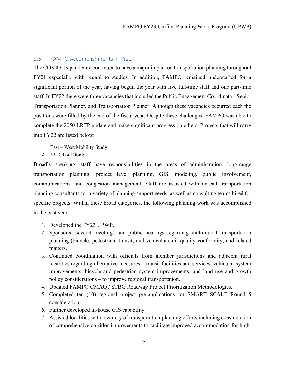#### <span id="page-11-0"></span>1.5 FAMPO Accomplishments in FY22

The COVID-19 pandemic continued to have a major impact on transportation planning throughout FY21 especially with regard to studies. In addition, FAMPO remained understaffed for a significant portion of the year, having begun the year with five full-time staff and one part-time staff. In FY22 there were three vacancies that included the Public Engagement Coordinator, Senior Transportation Planner, and Transportation Planner. Although these vacancies occurred each the positions were filled by the end of the fiscal year. Despite these challenges, FAMPO was able to complete the 2050 LRTP update and make significant progress on others. Projects that will carry into FY22 are listed below:

- 1. East West Mobility Study
- 2. VCR Trail Study

Broadly speaking, staff have responsibilities in the areas of administration, long-range transportation planning, project level planning, GIS, modeling, public involvement, communications, and congestion management. Staff are assisted with on-call transportation planning consultants for a variety of planning support needs, as well as consulting teams hired for specific projects. Within these broad categories, the following planning work was accomplished in the past year:

- 1. Developed the FY23 UPWP.
- 2. Sponsored several meetings and public hearings regarding multimodal transportation planning (bicycle, pedestrian, transit, and vehicular), air quality conformity, and related matters.
- 3. Continued coordination with officials from member jurisdictions and adjacent rural localities regarding alternative measures – transit facilities and services, vehicular system improvements, bicycle and pedestrian system improvements, and land use and growth policy considerations – to improve regional transportation.
- 4. Updated FAMPO CMAQ / STBG Roadway Project Prioritization Methodologies.
- 5. Completed ten (10) regional project pre-applications for SMART SCALE Round 5 consideration.
- 6. Further developed in-house GIS capability.
- 7. Assisted localities with a variety of transportation planning efforts including consideration of comprehensive corridor improvements to facilitate improved accommodation for high-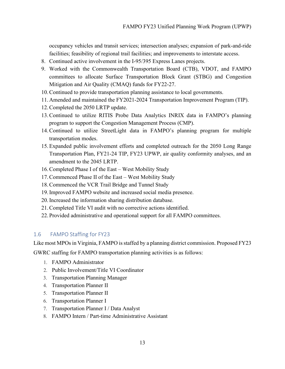occupancy vehicles and transit services; intersection analyses; expansion of park-and-ride facilities; feasibility of regional trail facilities; and improvements to interstate access.

- 8. Continued active involvement in the I-95/395 Express Lanes projects.
- 9. Worked with the Commonwealth Transportation Board (CTB), VDOT, and FAMPO committees to allocate Surface Transportation Block Grant (STBG) and Congestion Mitigation and Air Quality (CMAQ) funds for FY22-27.
- 10.Continued to provide transportation planning assistance to local governments.
- 11. Amended and maintained the FY2021-2024 Transportation Improvement Program (TIP).
- 12.Completed the 2050 LRTP update.
- 13.Continued to utilize RITIS Probe Data Analytics INRIX data in FAMPO's planning program to support the Congestion Management Process (CMP).
- 14.Continued to utilize StreetLight data in FAMPO's planning program for multiple transportation modes.
- 15. Expanded public involvement efforts and completed outreach for the 2050 Long Range Transportation Plan, FY21-24 TIP, FY23 UPWP, air quality conformity analyses, and an amendment to the 2045 LRTP.
- 16.Completed Phase I of the East West Mobility Study
- 17.Commenced Phase II of the East West Mobility Study
- 18.Commenced the VCR Trail Bridge and Tunnel Study
- 19.Improved FAMPO website and increased social media presence.
- 20.Increased the information sharing distribution database.
- 21.Completed Title VI audit with no corrective actions identified.
- 22. Provided administrative and operational support for all FAMPO committees.

#### <span id="page-12-0"></span>1.6 FAMPO Staffing for FY23

Like most MPOs in Virginia, FAMPO is staffed by a planning district commission. Proposed FY23

GWRC staffing for FAMPO transportation planning activities is as follows:

- 1. FAMPO Administrator
- 2. Public Involvement/Title VI Coordinator
- 3. Transportation Planning Manager
- 4. Transportation Planner II
- 5. Transportation Planner II
- 6. Transportation Planner I
- 7. Transportation Planner I / Data Analyst
- 8. FAMPO Intern / Part-time Administrative Assistant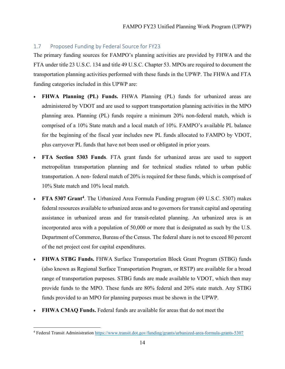#### <span id="page-13-0"></span>1.7 Proposed Funding by Federal Source for FY23

The primary funding sources for FAMPO's planning activities are provided by FHWA and the FTA under title 23 U.S.C. 134 and title 49 U.S.C. Chapter 53. MPOs are required to document the transportation planning activities performed with these funds in the UPWP. The FHWA and FTA funding categories included in this UPWP are:

- **FHWA Planning (PL) Funds.** FHWA Planning (PL) funds for urbanized areas are administered by VDOT and are used to support transportation planning activities in the MPO planning area. Planning (PL) funds require a minimum 20% non-federal match, which is comprised of a 10% State match and a local match of 10%. FAMPO's available PL balance for the beginning of the fiscal year includes new PL funds allocated to FAMPO by VDOT, plus carryover PL funds that have not been used or obligated in prior years.
- **FTA Section 5303 Funds**. FTA grant funds for urbanized areas are used to support metropolitan transportation planning and for technical studies related to urban public transportation. A non- federal match of 20% is required for these funds, which is comprised of 10% State match and 10% local match.
- **FTA 5307 Grant[4](#page-13-1)**. The Urbanized Area Formula Funding program (49 U.S.C. 5307) makes federal resources available to urbanized areas and to governors for transit capital and operating assistance in urbanized areas and for transit-related planning. An urbanized area is an incorporated area with a population of 50,000 or more that is designated as such by the U.S. Department of Commerce, Bureau of the Census. The federal share is not to exceed 80 percent of the net project cost for capital expenditures.
- **FHWA STBG Funds.** FHWA Surface Transportation Block Grant Program (STBG) funds (also known as Regional Surface Transportation Program, or RSTP) are available for a broad range of transportation purposes. STBG funds are made available to VDOT, which then may provide funds to the MPO. These funds are 80% federal and 20% state match. Any STBG funds provided to an MPO for planning purposes must be shown in the UPWP.
- **FHWA CMAQ Funds.** Federal funds are available for areas that do not meet the

<span id="page-13-1"></span><sup>4</sup> Federal Transit Administration<https://www.transit.dot.gov/funding/grants/urbanized-area-formula-grants-5307>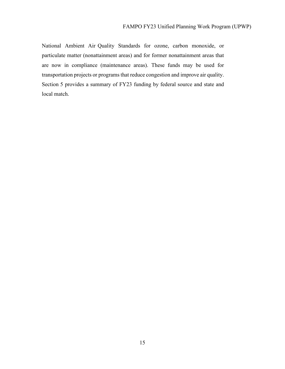National Ambient Air Quality Standards for ozone, carbon monoxide, or particulate matter (nonattainment areas) and for former nonattainment areas that are now in compliance (maintenance areas). These funds may be used for transportation projects or programs that reduce congestion and improve air quality. Section 5 provides a summary of FY23 funding by federal source and state and local match.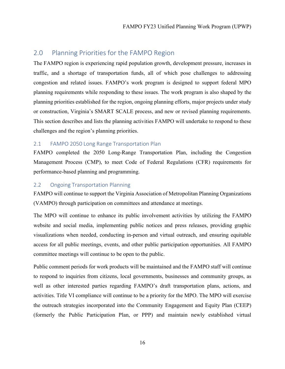## <span id="page-15-0"></span>2.0 Planning Priorities for the FAMPO Region

The FAMPO region is experiencing rapid population growth, development pressure, increases in traffic, and a shortage of transportation funds, all of which pose challenges to addressing congestion and related issues. FAMPO's work program is designed to support federal MPO planning requirements while responding to these issues. The work program is also shaped by the planning priorities established for the region, ongoing planning efforts, major projects under study or construction, Virginia's SMART SCALE process, and new or revised planning requirements. This section describes and lists the planning activities FAMPO will undertake to respond to these challenges and the region's planning priorities.

#### <span id="page-15-1"></span>2.1 FAMPO 2050 Long Range Transportation Plan

FAMPO completed the 2050 Long-Range Transportation Plan, including the Congestion Management Process (CMP), to meet Code of Federal Regulations (CFR) requirements for performance-based planning and programming.

#### <span id="page-15-2"></span>2.2 Ongoing Transportation Planning

FAMPO will continue to support the Virginia Association of Metropolitan Planning Organizations (VAMPO) through participation on committees and attendance at meetings.

The MPO will continue to enhance its public involvement activities by utilizing the FAMPO website and social media, implementing public notices and press releases, providing graphic visualizations when needed, conducting in-person and virtual outreach, and ensuring equitable access for all public meetings, events, and other public participation opportunities. All FAMPO committee meetings will continue to be open to the public.

Public comment periods for work products will be maintained and the FAMPO staff will continue to respond to inquiries from citizens, local governments, businesses and community groups, as well as other interested parties regarding FAMPO's draft transportation plans, actions, and activities. Title VI compliance will continue to be a priority for the MPO. The MPO will exercise the outreach strategies incorporated into the Community Engagement and Equity Plan (CEEP) (formerly the Public Participation Plan, or PPP) and maintain newly established virtual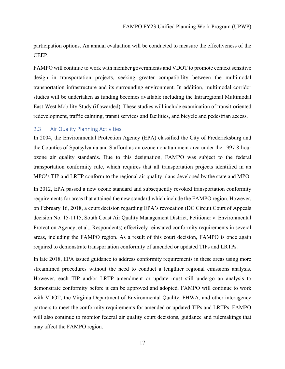participation options. An annual evaluation will be conducted to measure the effectiveness of the CEEP.

FAMPO will continue to work with member governments and VDOT to promote context sensitive design in transportation projects, seeking greater compatibility between the multimodal transportation infrastructure and its surrounding environment. In addition, multimodal corridor studies will be undertaken as funding becomes available including the Intraregional Multimodal East-West Mobility Study (if awarded). These studies will include examination of transit-oriented redevelopment, traffic calming, transit services and facilities, and bicycle and pedestrian access.

#### <span id="page-16-0"></span>2.3 Air Quality Planning Activities

In 2004, the Environmental Protection Agency (EPA) classified the City of Fredericksburg and the Counties of Spotsylvania and Stafford as an ozone nonattainment area under the 1997 8-hour ozone air quality standards. Due to this designation, FAMPO was subject to the federal transportation conformity rule, which requires that all transportation projects identified in an MPO's TIP and LRTP conform to the regional air quality plans developed by the state and MPO.

In 2012, EPA passed a new ozone standard and subsequently revoked transportation conformity requirements for areas that attained the new standard which include the FAMPO region. However, on February 16, 2018, a court decision regarding EPA's revocation (DC Circuit Court of Appeals decision No. 15-1115, South Coast Air Quality Management District, Petitioner v. Environmental Protection Agency, et al., Respondents) effectively reinstated conformity requirements in several areas, including the FAMPO region. As a result of this court decision, FAMPO is once again required to demonstrate transportation conformity of amended or updated TIPs and LRTPs.

In late 2018, EPA issued guidance to address conformity requirements in these areas using more streamlined procedures without the need to conduct a lengthier regional emissions analysis. However, each TIP and/or LRTP amendment or update must still undergo an analysis to demonstrate conformity before it can be approved and adopted. FAMPO will continue to work with VDOT, the Virginia Department of Environmental Quality, FHWA, and other interagency partners to meet the conformity requirements for amended or updated TIPs and LRTPs. FAMPO will also continue to monitor federal air quality court decisions, guidance and rulemakings that may affect the FAMPO region.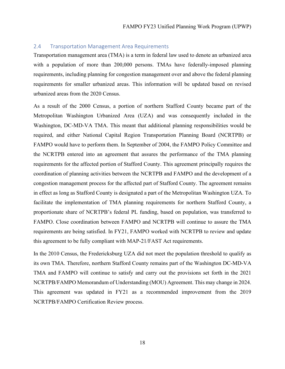#### <span id="page-17-0"></span>2.4 Transportation Management Area Requirements

Transportation management area (TMA) is a term in federal law used to denote an urbanized area with a population of more than 200,000 persons. TMAs have federally-imposed planning requirements, including planning for congestion management over and above the federal planning requirements for smaller urbanized areas. This information will be updated based on revised urbanized areas from the 2020 Census.

As a result of the 2000 Census, a portion of northern Stafford County became part of the Metropolitan Washington Urbanized Area (UZA) and was consequently included in the Washington, DC-MD-VA TMA. This meant that additional planning responsibilities would be required, and either National Capital Region Transportation Planning Board (NCRTPB) or FAMPO would have to perform them. In September of 2004, the FAMPO Policy Committee and the NCRTPB entered into an agreement that assures the performance of the TMA planning requirements for the affected portion of Stafford County. This agreement principally requires the coordination of planning activities between the NCRTPB and FAMPO and the development of a congestion management process for the affected part of Stafford County. The agreement remains in effect as long as Stafford County is designated a part of the Metropolitan Washington UZA. To facilitate the implementation of TMA planning requirements for northern Stafford County, a proportionate share of NCRTPB's federal PL funding, based on population, was transferred to FAMPO. Close coordination between FAMPO and NCRTPB will continue to assure the TMA requirements are being satisfied. In FY21, FAMPO worked with NCRTPB to review and update this agreement to be fully compliant with MAP-21/FAST Act requirements.

In the 2010 Census, the Fredericksburg UZA did not meet the population threshold to qualify as its own TMA. Therefore, northern Stafford County remains part of the Washington DC-MD-VA TMA and FAMPO will continue to satisfy and carry out the provisions set forth in the 2021 NCRTPB/FAMPO Memorandum of Understanding (MOU) Agreement. This may change in 2024. This agreement was updated in FY21 as a recommended improvement from the 2019 NCRTPB/FAMPO Certification Review process.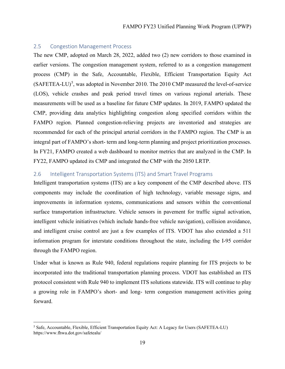#### <span id="page-18-0"></span>2.5 Congestion Management Process

The new CMP, adopted on March 28, 2022, added two (2) new corridors to those examined in earlier versions. The congestion management system, referred to as a congestion management process (CMP) in the Safe, Accountable, Flexible, Efficient Transportation Equity Act  $(SAFFTEA-LU)<sup>5</sup>$  $(SAFFTEA-LU)<sup>5</sup>$  $(SAFFTEA-LU)<sup>5</sup>$ , was adopted in November 2010. The 2010 CMP measured the level-of-service (LOS), vehicle crashes and peak period travel times on various regional arterials. These measurements will be used as a baseline for future CMP updates. In 2019, FAMPO updated the CMP, providing data analytics highlighting congestion along specified corridors within the FAMPO region. Planned congestion-relieving projects are inventoried and strategies are recommended for each of the principal arterial corridors in the FAMPO region. The CMP is an integral part of FAMPO's short- term and long-term planning and project prioritization processes. In FY21, FAMPO created a web dashboard to monitor metrics that are analyzed in the CMP. In FY22, FAMPO updated its CMP and integrated the CMP with the 2050 LRTP.

#### <span id="page-18-1"></span>2.6 Intelligent Transportation Systems (ITS) and Smart Travel Programs

Intelligent transportation systems (ITS) are a key component of the CMP described above. ITS components may include the coordination of high technology, variable message signs, and improvements in information systems, communications and sensors within the conventional surface transportation infrastructure. Vehicle sensors in pavement for traffic signal activation, intelligent vehicle initiatives (which include hands-free vehicle navigation), collision avoidance, and intelligent cruise control are just a few examples of ITS. VDOT has also extended a 511 information program for interstate conditions throughout the state, including the I-95 corridor through the FAMPO region.

Under what is known as Rule 940, federal regulations require planning for ITS projects to be incorporated into the traditional transportation planning process. VDOT has established an ITS protocol consistent with Rule 940 to implement ITS solutions statewide. ITS will continue to play a growing role in FAMPO's short- and long- term congestion management activities going forward.

<span id="page-18-2"></span><sup>5</sup> Safe, Accountable, Flexible, Efficient Transportation Equity Act: A Legacy for Users (SAFETEA-LU) https://www.fhwa.dot.gov/safetealu/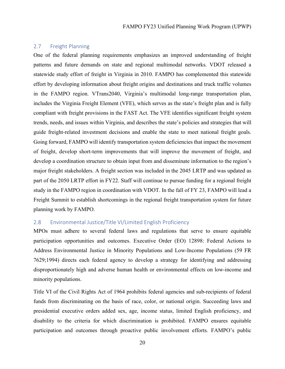#### <span id="page-19-0"></span>2.7 Freight Planning

One of the federal planning requirements emphasizes an improved understanding of freight patterns and future demands on state and regional multimodal networks. VDOT released a statewide study effort of freight in Virginia in 2010. FAMPO has complemented this statewide effort by developing information about freight origins and destinations and truck traffic volumes in the FAMPO region. VTrans2040, Virginia's multimodal long-range transportation plan, includes the Virginia Freight Element (VFE), which serves as the state's freight plan and is fully compliant with freight provisions in the FAST Act. The VFE identifies significant freight system trends, needs, and issues within Virginia, and describes the state's policies and strategies that will guide freight-related investment decisions and enable the state to meet national freight goals. Going forward, FAMPO will identify transportation system deficiencies that impact the movement of freight, develop short-term improvements that will improve the movement of freight, and develop a coordination structure to obtain input from and disseminate information to the region's major freight stakeholders. A freight section was included in the 2045 LRTP and was updated as part of the 2050 LRTP effort in FY22. Staff will continue to pursue funding for a regional freight study in the FAMPO region in coordination with VDOT. In the fall of FY 23, FAMPO will lead a Freight Summit to establish shortcomings in the regional freight transportation system for future planning work by FAMPO.

#### <span id="page-19-1"></span>2.8 Environmental Justice/Title VI/Limited English Proficiency

MPOs must adhere to several federal laws and regulations that serve to ensure equitable participation opportunities and outcomes. Executive Order (EO) 12898: Federal Actions to Address Environmental Justice in Minority Populations and Low-Income Populations (59 FR 7629;1994) directs each federal agency to develop a strategy for identifying and addressing disproportionately high and adverse human health or environmental effects on low-income and minority populations.

Title VI of the Civil Rights Act of 1964 prohibits federal agencies and sub-recipients of federal funds from discriminating on the basis of race, color, or national origin. Succeeding laws and presidential executive orders added sex, age, income status, limited English proficiency, and disability to the criteria for which discrimination is prohibited. FAMPO ensures equitable participation and outcomes through proactive public involvement efforts. FAMPO's public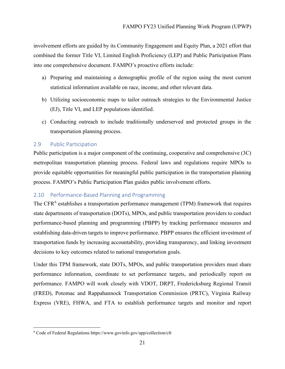involvement efforts are guided by its Community Engagement and Equity Plan, a 2021 effort that combined the former Title VI, Limited English Proficiency (LEP) and Public Participation Plans into one comprehensive document. FAMPO's proactive efforts include:

- a) Preparing and maintaining a demographic profile of the region using the most current statistical information available on race, income, and other relevant data.
- b) Utilizing socioeconomic maps to tailor outreach strategies to the Environmental Justice (EJ), Title VI, and LEP populations identified.
- c) Conducting outreach to include traditionally underserved and protected groups in the transportation planning process.

#### <span id="page-20-0"></span>2.9 Public Participation

Public participation is a major component of the continuing, cooperative and comprehensive (3C) metropolitan transportation planning process. Federal laws and regulations require MPOs to provide equitable opportunities for meaningful public participation in the transportation planning process. FAMPO's Public Participation Plan guides public involvement efforts.

#### <span id="page-20-1"></span>2.10 Performance-Based Planning and Programming

The CFR $<sup>6</sup>$  $<sup>6</sup>$  $<sup>6</sup>$  establishes a transportation performance management (TPM) framework that requires</sup> state departments of transportation (DOTs), MPOs, and public transportation providers to conduct performance-based planning and programming (PBPP) by tracking performance measures and establishing data-driven targets to improve performance. PBPP ensures the efficient investment of transportation funds by increasing accountability, providing transparency, and linking investment decisions to key outcomes related to national transportation goals.

Under this TPM framework, state DOTs, MPOs, and public transportation providers must share performance information, coordinate to set performance targets, and periodically report on performance. FAMPO will work closely with VDOT, DRPT, Fredericksburg Regional Transit (FRED), Potomac and Rappahannock Transportation Commission (PRTC), Virginia Railway Express (VRE), FHWA, and FTA to establish performance targets and monitor and report

<span id="page-20-2"></span><sup>6</sup> Code of Federal Regulations https://www.govinfo.gov/app/collection/cfr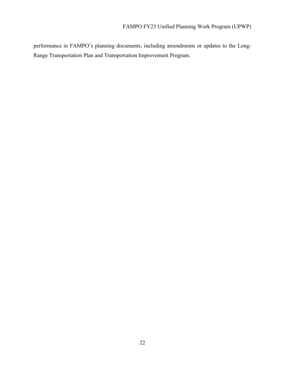performance in FAMPO's planning documents, including amendments or updates to the Long-Range Transportation Plan and Transportation Improvement Program.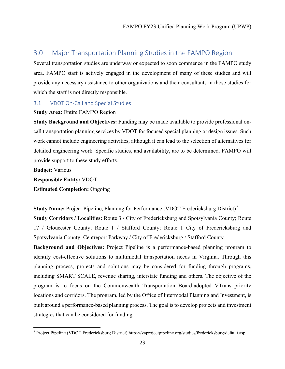# <span id="page-22-0"></span>3.0 Major Transportation Planning Studies in the FAMPO Region

Several transportation studies are underway or expected to soon commence in the FAMPO study area. FAMPO staff is actively engaged in the development of many of these studies and will provide any necessary assistance to other organizations and their consultants in those studies for which the staff is not directly responsible.

#### <span id="page-22-1"></span>3.1 VDOT On-Call and Special Studies

#### **Study Area:** Entire FAMPO Region

**Study Background and Objectives:** Funding may be made available to provide professional oncall transportation planning services by VDOT for focused special planning or design issues. Such work cannot include engineering activities, although it can lead to the selection of alternatives for detailed engineering work. Specific studies, and availability, are to be determined. FAMPO will provide support to these study efforts.

**Budget:** Various **Responsible Entity:** VDOT **Estimated Completion:** Ongoing

**Study Name:** Project Pipeline, Planning for Performance (VDOT Fredericksburg District)<sup>[7](#page-22-2)</sup> **Study Corridors / Localities:** Route 3 / City of Fredericksburg and Spotsylvania County; Route 17 / Gloucester County; Route 1 / Stafford County; Route 1 City of Fredericksburg and Spotsylvania County; Centreport Parkway / City of Fredericksburg / Stafford County **Background and Objectives:** Project Pipeline is a performance-based planning program to identify cost-effective solutions to multimodal transportation needs in Virginia. Through this planning process, projects and solutions may be considered for funding through programs, including SMART SCALE, revenue sharing, interstate funding and others. The objective of the program is to focus on the Commonwealth Transportation Board-adopted VTrans priority locations and corridors. The program, led by the Office of Intermodal Planning and Investment, is built around a performance-based planning process. The goal is to develop projects and investment strategies that can be considered for funding.

<span id="page-22-2"></span><sup>7</sup> Project Pipeline (VDOT Fredericksburg District) https://vaprojectpipeline.org/studies/fredericksburg/default.asp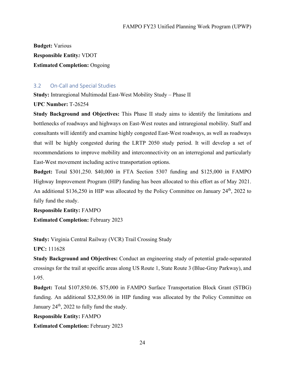**Budget:** Various **Responsible Entity***:* VDOT **Estimated Completion:** Ongoing

#### <span id="page-23-0"></span>3.2 On-Call and Special Studies

**Study:** Intraregional Multimodal East-West Mobility Study – Phase II

**UPC Number:** T-26254

**Study Background and Objectives:** This Phase II study aims to identify the limitations and bottlenecks of roadways and highways on East-West routes and intraregional mobility. Staff and consultants will identify and examine highly congested East-West roadways, as well as roadways that will be highly congested during the LRTP 2050 study period. It will develop a set of recommendations to improve mobility and interconnectivity on an interregional and particularly East-West movement including active transportation options.

**Budget:** Total \$301,250. \$40,000 in FTA Section 5307 funding and \$125,000 in FAMPO Highway Improvement Program (HIP) funding has been allocated to this effort as of May 2021. An additional \$136,250 in HIP was allocated by the Policy Committee on January 24<sup>th</sup>, 2022 to fully fund the study.

**Responsible Entity:** FAMPO **Estimated Completion:** February 2023

**Study:** Virginia Central Railway (VCR) Trail Crossing Study

**UPC:** 111628

**Study Background and Objectives:** Conduct an engineering study of potential grade-separated crossings for the trail at specific areas along US Route 1, State Route 3 (Blue-Gray Parkway), and I-95.

**Budget:** Total \$107,850.06. \$75,000 in FAMPO Surface Transportation Block Grant (STBG) funding. An additional \$32,850.06 in HIP funding was allocated by the Policy Committee on January 24<sup>th</sup>, 2022 to fully fund the study.

**Responsible Entity:** FAMPO

**Estimated Completion:** February 2023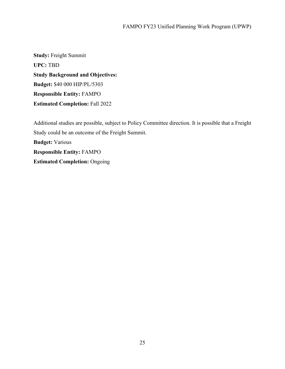**Study:** Freight Summit **UPC:** TBD **Study Background and Objectives: Budget:** \$40 000 HIP/PL/5303 **Responsible Entity:** FAMPO **Estimated Completion:** Fall 2022

Additional studies are possible, subject to Policy Committee direction. It is possible that a Freight Study could be an outcome of the Freight Summit. **Budget:** Various **Responsible Entity:** FAMPO **Estimated Completion:** Ongoing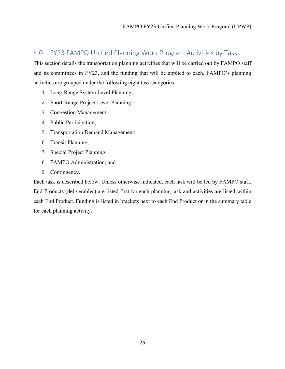# <span id="page-25-0"></span>4.0 FY23 FAMPO Unified Planning Work Program Activities by Task

This section details the transportation planning activities that will be carried out by FAMPO staff and its committees in FY23, and the funding that will be applied to each. FAMPO's planning activities are grouped under the following eight task categories:

- 1. Long-Range System Level Planning;
- 2. Short-Range Project Level Planning;
- 3. Congestion Management;
- 4. Public Participation;
- 5. Transportation Demand Management;
- 6. Transit Planning;
- 7. Special Project Planning;
- 8. FAMPO Administration; and
- 9. Contingency.

Each task is described below. Unless otherwise indicated, each task will be led by FAMPO staff. End Products (deliverables) are listed first for each planning task and activities are listed within each End Product. Funding is listed in brackets next to each End Product or in the summary table for each planning activity.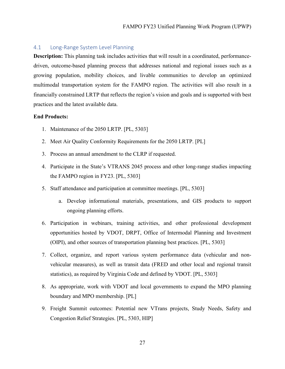#### <span id="page-26-0"></span>4.1 Long-Range System Level Planning

**Description:** This planning task includes activities that will result in a coordinated, performancedriven, outcome-based planning process that addresses national and regional issues such as a growing population, mobility choices, and livable communities to develop an optimized multimodal transportation system for the FAMPO region. The activities will also result in a financially constrained LRTP that reflects the region's vision and goals and is supported with best practices and the latest available data.

#### **End Products:**

- 1. Maintenance of the 2050 LRTP. [PL, 5303]
- 2. Meet Air Quality Conformity Requirements for the 2050 LRTP. [PL]
- 3. Process an annual amendment to the CLRP if requested.
- 4. Participate in the State's VTRANS 2045 process and other long-range studies impacting the FAMPO region in FY23. [PL, 5303]
- 5. Staff attendance and participation at committee meetings. [PL, 5303]
	- a. Develop informational materials, presentations, and GIS products to support ongoing planning efforts.
- 6. Participation in webinars, training activities, and other professional development opportunities hosted by VDOT, DRPT, Office of Intermodal Planning and Investment (OIPI), and other sources of transportation planning best practices. [PL, 5303]
- 7. Collect, organize, and report various system performance data (vehicular and nonvehicular measures), as well as transit data (FRED and other local and regional transit statistics), as required by Virginia Code and defined by VDOT. [PL, 5303]
- 8. As appropriate, work with VDOT and local governments to expand the MPO planning boundary and MPO membership. [PL]
- 9. Freight Summit outcomes: Potential new VTrans projects, Study Needs, Safety and Congestion Relief Strategies. [PL, 5303, HIP]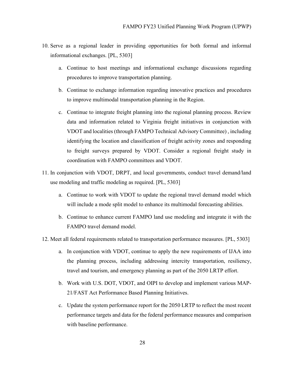- 10. Serve as a regional leader in providing opportunities for both formal and informal informational exchanges. [PL, 5303]
	- a. Continue to host meetings and informational exchange discussions regarding procedures to improve transportation planning.
	- b. Continue to exchange information regarding innovative practices and procedures to improve multimodal transportation planning in the Region.
	- c. Continue to integrate freight planning into the regional planning process. Review data and information related to Virginia freight initiatives in conjunction with VDOT and localities (through FAMPO Technical Advisory Committee) , including identifying the location and classification of freight activity zones and responding to freight surveys prepared by VDOT. Consider a regional freight study in coordination with FAMPO committees and VDOT.
- 11. In conjunction with VDOT, DRPT, and local governments, conduct travel demand/land use modeling and traffic modeling as required. [PL, 5303]
	- a. Continue to work with VDOT to update the regional travel demand model which will include a mode split model to enhance its multimodal forecasting abilities.
	- b. Continue to enhance current FAMPO land use modeling and integrate it with the FAMPO travel demand model.
- 12. Meet all federal requirements related to transportation performance measures. [PL, 5303]
	- a. In conjunction with VDOT, continue to apply the new requirements of IJAA into the planning process, including addressing intercity transportation, resiliency, travel and tourism, and emergency planning as part of the 2050 LRTP effort.
	- b. Work with U.S. DOT, VDOT, and OIPI to develop and implement various MAP-21/FAST Act Performance Based Planning Initiatives.
	- c. Update the system performance report for the 2050 LRTP to reflect the most recent performance targets and data for the federal performance measures and comparison with baseline performance.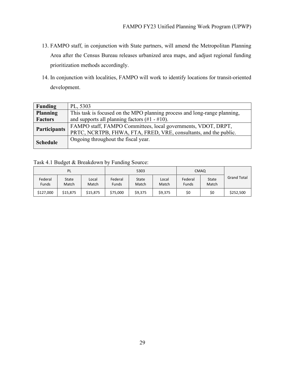- 13. FAMPO staff, in conjunction with State partners, will amend the Metropolitan Planning Area after the Census Bureau releases urbanized area maps, and adjust regional funding prioritization methods accordingly.
- 14. In conjunction with localities, FAMPO will work to identify locations for transit-oriented development.

| Funding             | PL, 5303                                                                  |
|---------------------|---------------------------------------------------------------------------|
| <b>Planning</b>     | This task is focused on the MPO planning process and long-range planning, |
| <b>Factors</b>      | and supports all planning factors $(\#1 - \#10)$ .                        |
| <b>Participants</b> | FAMPO staff, FAMPO Committees, local governments, VDOT, DRPT,             |
|                     | PRTC, NCRTPB, FHWA, FTA, FRED, VRE, consultants, and the public.          |
| <b>Schedule</b>     | Ongoing throughout the fiscal year.                                       |
|                     |                                                                           |

#### Task 4.1 Budget & Breakdown by Funding Source:

| PL                      |                |                | 5303                    |                |                | <b>CMAQ</b>             |                |                    |
|-------------------------|----------------|----------------|-------------------------|----------------|----------------|-------------------------|----------------|--------------------|
| Federal<br><b>Funds</b> | State<br>Match | Local<br>Match | Federal<br><b>Funds</b> | State<br>Match | Local<br>Match | Federal<br><b>Funds</b> | State<br>Match | <b>Grand Total</b> |
| \$127,000               | \$15,875       | \$15,875       | \$75,000                | \$9,375        | \$9,375        | \$0                     | \$0            | \$252,500          |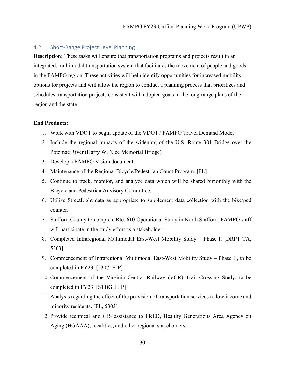#### <span id="page-29-0"></span>4.2 Short-Range Project Level Planning

**Description:** These tasks will ensure that transportation programs and projects result in an integrated, multimodal transportation system that facilitates the movement of people and goods in the FAMPO region. These activities will help identify opportunities for increased mobility options for projects and will allow the region to conduct a planning process that prioritizes and schedules transportation projects consistent with adopted goals in the long-range plans of the region and the state.

#### **End Products:**

- 1. Work with VDOT to begin update of the VDOT / FAMPO Travel Demand Model
- 2. Include the regional impacts of the widening of the U.S. Route 301 Bridge over the Potomac River (Harry W. Nice Memorial Bridge)
- 3. Develop a FAMPO Vision document
- 4. Maintenance of the Regional Bicycle/Pedestrian Count Program. [PL]
- 5. Continue to track, monitor, and analyze data which will be shared bimonthly with the Bicycle and Pedestrian Advisory Committee.
- 6. Utilize StreetLight data as appropriate to supplement data collection with the bike/ped counter.
- 7. Stafford County to complete Rte. 610 Operational Study in North Stafford. FAMPO staff will participate in the study effort as a stakeholder.
- 8. Completed Intraregional Multimodal East-West Mobility Study Phase I. [DRPT TA, 5303]
- 9. Commencement of Intraregional Multimodal East-West Mobility Study Phase II, to be completed in FY23. [5307, HIP]
- 10. Commencement of the Virginia Central Railway (VCR) Trail Crossing Study, to be completed in FY23. [STBG, HIP]
- 11. Analysis regarding the effect of the provision of transportation services to low income and minority residents. [PL, 5303]
- 12. Provide technical and GIS assistance to FRED, Healthy Generations Area Agency on Aging (HGAAA), localities, and other regional stakeholders.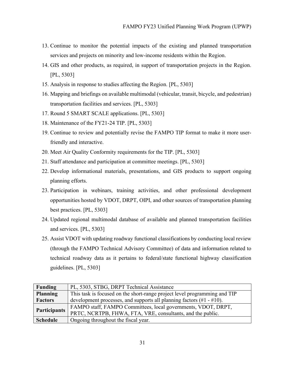- 13. Continue to monitor the potential impacts of the existing and planned transportation services and projects on minority and low-income residents within the Region.
- 14. GIS and other products, as required, in support of transportation projects in the Region. [PL, 5303]
- 15. Analysis in response to studies affecting the Region. [PL, 5303]
- 16. Mapping and briefings on available multimodal (vehicular, transit, bicycle, and pedestrian) transportation facilities and services. [PL, 5303]
- 17. Round 5 SMART SCALE applications. [PL, 5303]
- 18. Maintenance of the FY21-24 TIP. [PL, 5303]
- 19. Continue to review and potentially revise the FAMPO TIP format to make it more userfriendly and interactive.
- 20. Meet Air Quality Conformity requirements for the TIP. [PL, 5303]
- 21. Staff attendance and participation at committee meetings. [PL, 5303]
- 22. Develop informational materials, presentations, and GIS products to support ongoing planning efforts.
- 23. Participation in webinars, training activities, and other professional development opportunities hosted by VDOT, DRPT, OIPI, and other sources of transportation planning best practices. [PL, 5303]
- 24. Updated regional multimodal database of available and planned transportation facilities and services. [PL, 5303]
- 25. Assist VDOT with updating roadway functional classifications by conducting local review (through the FAMPO Technical Advisory Committee) of data and information related to technical roadway data as it pertains to federal/state functional highway classification guidelines. [PL, 5303]

| <b>Funding</b>      | PL, 5303, STBG, DRPT Technical Assistance                                 |
|---------------------|---------------------------------------------------------------------------|
| <b>Planning</b>     | This task is focused on the short-range project level programming and TIP |
| Factors             | development processes, and supports all planning factors $(\#1 - \#10)$ . |
| <b>Participants</b> | FAMPO staff, FAMPO Committees, local governments, VDOT, DRPT,             |
|                     | PRTC, NCRTPB, FHWA, FTA, VRE, consultants, and the public.                |
| <b>Schedule</b>     | Ongoing throughout the fiscal year.                                       |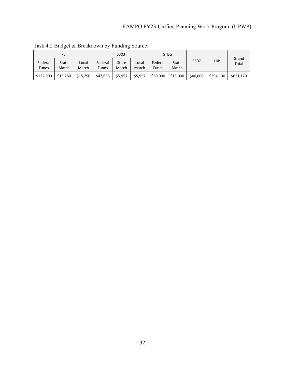|                  | PL             |                |                  | 5303           |                |                         | <b>STBG</b>    |          |            |                |
|------------------|----------------|----------------|------------------|----------------|----------------|-------------------------|----------------|----------|------------|----------------|
| Federal<br>Funds | State<br>Match | Local<br>Match | Federal<br>Funds | State<br>Match | Local<br>Match | Federal<br><b>Funds</b> | State<br>Match | 5307     | <b>HIP</b> | Grand<br>Total |
| \$122,000        | \$15,250       | \$15.250       | \$47,656         | \$5,957        | \$5,957        | \$60,000                | \$15,000       | \$40,000 | \$294,100  | \$621.170      |

Task 4.2 Budget & Breakdown by Funding Source: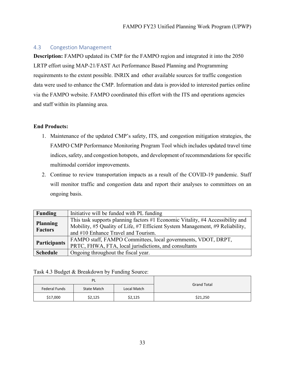#### <span id="page-32-0"></span>4.3 Congestion Management

**Description:** FAMPO updated its CMP for the FAMPO region and integrated it into the 2050 LRTP effort using MAP-21/FAST Act Performance Based Planning and Programming requirements to the extent possible. INRIX and other available sources for traffic congestion data were used to enhance the CMP. Information and data is provided to interested parties online via the FAMPO website. FAMPO coordinated this effort with the ITS and operations agencies and staff within its planning area.

#### **End Products:**

- 1. Maintenance of the updated CMP's safety, ITS, and congestion mitigation strategies, the FAMPO CMP Performance Monitoring Program Tool which includes updated travel time indices, safety, and congestion hotspots, and development of recommendations for specific multimodal corridor improvements.
- 2. Continue to review transportation impacts as a result of the COVID-19 pandemic. Staff will monitor traffic and congestion data and report their analyses to committees on an ongoing basis.

| Funding                           | Initiative will be funded with PL funding                                                                                                                                                              |
|-----------------------------------|--------------------------------------------------------------------------------------------------------------------------------------------------------------------------------------------------------|
| <b>Planning</b><br><b>Factors</b> | This task supports planning factors #1 Economic Vitality, #4 Accessibility and<br>Mobility, #5 Quality of Life, #7 Efficient System Management, #9 Reliability,<br>and #10 Enhance Travel and Tourism. |
| <b>Participants</b>               | FAMPO staff, FAMPO Committees, local governments, VDOT, DRPT,<br>PRTC, FHWA, FTA, local jurisdictions, and consultants                                                                                 |
| <b>Schedule</b>                   | Ongoing throughout the fiscal year.                                                                                                                                                                    |

Task 4.3 Budget & Breakdown by Funding Source:

|               | <b>PL</b>                         | <b>Grand Total</b> |          |
|---------------|-----------------------------------|--------------------|----------|
| Federal Funds | <b>State Match</b><br>Local Match |                    |          |
| \$17,000      | \$2,125                           | \$2,125            | \$21,250 |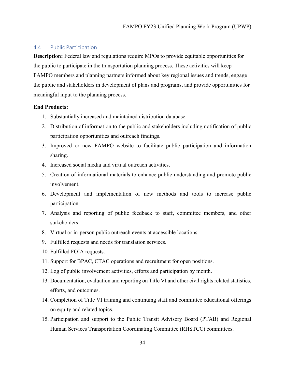#### <span id="page-33-0"></span>4.4 Public Participation

**Description:** Federal law and regulations require MPOs to provide equitable opportunities for the public to participate in the transportation planning process. These activities will keep FAMPO members and planning partners informed about key regional issues and trends, engage the public and stakeholders in development of plans and programs, and provide opportunities for meaningful input to the planning process.

#### **End Products:**

- 1. Substantially increased and maintained distribution database.
- 2. Distribution of information to the public and stakeholders including notification of public participation opportunities and outreach findings.
- 3. Improved or new FAMPO website to facilitate public participation and information sharing.
- 4. Increased social media and virtual outreach activities.
- 5. Creation of informational materials to enhance public understanding and promote public involvement.
- 6. Development and implementation of new methods and tools to increase public participation.
- 7. Analysis and reporting of public feedback to staff, committee members, and other stakeholders.
- 8. Virtual or in-person public outreach events at accessible locations.
- 9. Fulfilled requests and needs for translation services.
- 10. Fulfilled FOIA requests.
- 11. Support for BPAC, CTAC operations and recruitment for open positions.
- 12. Log of public involvement activities, efforts and participation by month.
- 13. Documentation, evaluation and reporting on Title VI and other civil rights related statistics, efforts, and outcomes.
- 14. Completion of Title VI training and continuing staff and committee educational offerings on equity and related topics.
- 15. Participation and support to the Public Transit Advisory Board (PTAB) and Regional Human Services Transportation Coordinating Committee (RHSTCC) committees.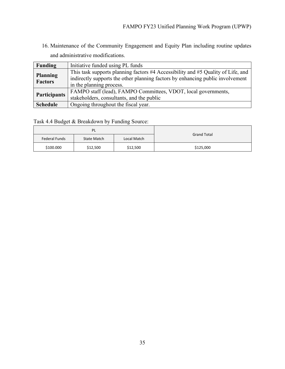16. Maintenance of the Community Engagement and Equity Plan including routine updates and administrative modifications.

| <b>Funding</b>  | Initiative funded using PL funds                                                 |
|-----------------|----------------------------------------------------------------------------------|
|                 | This task supports planning factors #4 Accessibility and #5 Quality of Life, and |
| <b>Planning</b> | indirectly supports the other planning factors by enhancing public involvement   |
| <b>Factors</b>  | in the planning process.                                                         |
|                 | FAMPO staff (lead), FAMPO Committees, VDOT, local governments,                   |
| Participants    | stakeholders, consultants, and the public                                        |
| <b>Schedule</b> | Ongoing throughout the fiscal year.                                              |

Task 4.4 Budget & Breakdown by Funding Source:

|               | <b>PL</b>   | <b>Grand Total</b> |           |
|---------------|-------------|--------------------|-----------|
| Federal Funds | State Match | Local Match        |           |
| \$100.000     | \$12,500    | \$12,500           | \$125,000 |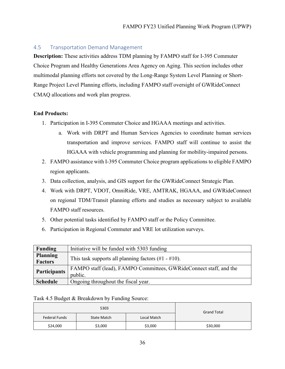#### <span id="page-35-0"></span>4.5 Transportation Demand Management

**Description:** These activities address TDM planning by FAMPO staff for I-395 Commuter Choice Program and Healthy Generations Area Agency on Aging. This section includes other multimodal planning efforts not covered by the Long-Range System Level Planning or Short-Range Project Level Planning efforts, including FAMPO staff oversight of GWRideConnect CMAQ allocations and work plan progress.

#### **End Products:**

- 1. Participation in I-395 Commuter Choice and HGAAA meetings and activities.
	- a. Work with DRPT and Human Services Agencies to coordinate human services transportation and improve services. FAMPO staff will continue to assist the HGAAA with vehicle programming and planning for mobility-impaired persons.
- 2. FAMPO assistance with I-395 Commuter Choice program applications to eligible FAMPO region applicants.
- 3. Data collection, analysis, and GIS support for the GWRideConnect Strategic Plan.
- 4. Work with DRPT, VDOT, OmniRide, VRE, AMTRAK, HGAAA, and GWRideConnect on regional TDM/Transit planning efforts and studies as necessary subject to available FAMPO staff resources.
- 5. Other potential tasks identified by FAMPO staff or the Policy Committee.
- 6. Participation in Regional Commuter and VRE lot utilization surveys.

| <b>Funding</b>      | Initiative will be funded with 5303 funding                        |
|---------------------|--------------------------------------------------------------------|
| <b>Planning</b>     | This task supports all planning factors $(\#1 - \#10)$ .           |
| <b>Factors</b>      |                                                                    |
| <b>Participants</b> | FAMPO staff (lead), FAMPO Committees, GWRideConnect staff, and the |
|                     | public.                                                            |
| <b>Schedule</b>     | Ongoing throughout the fiscal year.                                |

#### Task 4.5 Budget & Breakdown by Funding Source:

|               | 5303        | <b>Grand Total</b> |          |  |
|---------------|-------------|--------------------|----------|--|
| Federal Funds | State Match |                    |          |  |
| \$24,000      | \$3,000     | \$3,000            | \$30,000 |  |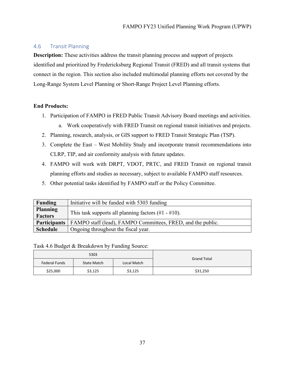#### <span id="page-36-0"></span>4.6 Transit Planning

**Description:** These activities address the transit planning process and support of projects identified and prioritized by Fredericksburg Regional Transit (FRED) and all transit systems that connect in the region. This section also included multimodal planning efforts not covered by the Long-Range System Level Planning or Short-Range Project Level Planning efforts.

#### **End Products:**

- 1. Participation of FAMPO in FRED Public Transit Advisory Board meetings and activities.
	- a. Work cooperatively with FRED Transit on regional transit initiatives and projects.
- 2. Planning, research, analysis, or GIS support to FRED Transit Strategic Plan (TSP).
- 3. Complete the East West Mobility Study and incorporate transit recommendations into CLRP, TIP, and air conformity analysis with future updates.
- 4. FAMPO will work with DRPT, VDOT, PRTC, and FRED Transit on regional transit planning efforts and studies as necessary, subject to available FAMPO staff resources.
- 5. Other potential tasks identified by FAMPO staff or the Policy Committee.

| Funding                           | Initiative will be funded with 5303 funding                 |
|-----------------------------------|-------------------------------------------------------------|
| <b>Planning</b><br><b>Factors</b> | This task supports all planning factors $(\#1 - \#10)$ .    |
| <b>Participants</b>               | FAMPO staff (lead), FAMPO Committees, FRED, and the public. |
| <b>Schedule</b>                   | Ongoing throughout the fiscal year.                         |

Task 4.6 Budget & Breakdown by Funding Source:

|               | 5303        |             |                    |  |  |
|---------------|-------------|-------------|--------------------|--|--|
| Federal Funds | State Match | Local Match | <b>Grand Total</b> |  |  |
| \$25,000      | \$3,125     | \$3,125     | \$31,250           |  |  |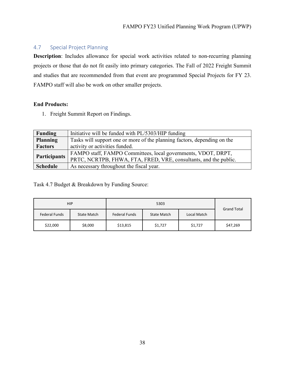### <span id="page-37-0"></span>4.7 Special Project Planning

**Description**: Includes allowance for special work activities related to non-recurring planning projects or those that do not fit easily into primary categories. The Fall of 2022 Freight Summit and studies that are recommended from that event are programmed Special Projects for FY 23. FAMPO staff will also be work on other smaller projects.

#### **End Products:**

1. Freight Summit Report on Findings.

| Funding         | Initiative will be funded with PL/5303/HIP funding                       |
|-----------------|--------------------------------------------------------------------------|
| <b>Planning</b> | Tasks will support one or more of the planning factors, depending on the |
| <b>Factors</b>  | activity or activities funded.                                           |
| Participants    | FAMPO staff, FAMPO Committees, local governments, VDOT, DRPT,            |
|                 | PRTC, NCRTPB, FHWA, FTA, FRED, VRE, consultants, and the public.         |
| <b>Schedule</b> | As necessary throughout the fiscal year.                                 |

Task 4.7 Budget & Breakdown by Funding Source:

|               | <b>HIP</b>  |                      | <b>Grand Total</b> |             |          |  |
|---------------|-------------|----------------------|--------------------|-------------|----------|--|
| Federal Funds | State Match | <b>Federal Funds</b> | State Match        | Local Match |          |  |
| \$22,000      | \$8,000     | \$13,815             | \$1,727            | \$1,727     | \$47,269 |  |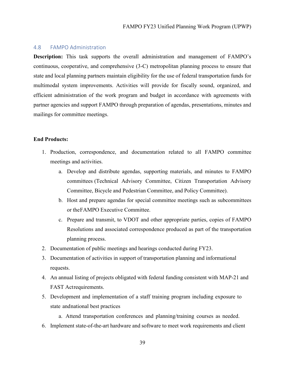#### <span id="page-38-0"></span>4.8 FAMPO Administration

**Description:** This task supports the overall administration and management of FAMPO's continuous, cooperative, and comprehensive (3-C) metropolitan planning process to ensure that state and local planning partners maintain eligibility for the use of federal transportation funds for multimodal system improvements. Activities will provide for fiscally sound, organized, and efficient administration of the work program and budget in accordance with agreements with partner agencies and support FAMPO through preparation of agendas, presentations, minutes and mailings for committee meetings.

#### **End Products:**

- 1. Production, correspondence, and documentation related to all FAMPO committee meetings and activities.
	- a. Develop and distribute agendas, supporting materials, and minutes to FAMPO committees (Technical Advisory Committee, Citizen Transportation Advisory Committee, Bicycle and Pedestrian Committee, and Policy Committee).
	- b. Host and prepare agendas for special committee meetings such as subcommittees or theFAMPO Executive Committee.
	- c. Prepare and transmit, to VDOT and other appropriate parties, copies of FAMPO Resolutions and associated correspondence produced as part of the transportation planning process.
- 2. Documentation of public meetings and hearings conducted during FY23.
- 3. Documentation of activities in support of transportation planning and informational requests.
- 4. An annual listing of projects obligated with federal funding consistent with MAP-21 and FAST Actrequirements.
- 5. Development and implementation of a staff training program including exposure to state andnational best practices
	- a. Attend transportation conferences and planning/training courses as needed.
- 6. Implement state-of-the-art hardware and software to meet work requirements and client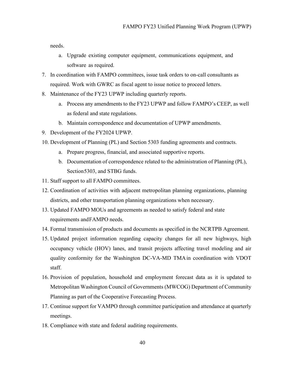needs.

- a. Upgrade existing computer equipment, communications equipment, and software as required.
- 7. In coordination with FAMPO committees, issue task orders to on-call consultants as required. Work with GWRC as fiscal agent to issue notice to proceed letters.
- 8. Maintenance of the FY23 UPWP including quarterly reports.
	- a. Process any amendments to the FY23 UPWP and follow FAMPO's CEEP, as well as federal and state regulations.
	- b. Maintain correspondence and documentation of UPWP amendments.
- 9. Development of the FY2024 UPWP.
- 10. Development of Planning (PL) and Section 5303 funding agreements and contracts.
	- a. Prepare progress, financial, and associated supportive reports.
	- b. Documentation of correspondence related to the administration of Planning (PL), Section5303, and STBG funds.
- 11. Staff support to all FAMPO committees.
- 12. Coordination of activities with adjacent metropolitan planning organizations, planning districts, and other transportation planning organizations when necessary.
- 13. Updated FAMPO MOUs and agreements as needed to satisfy federal and state requirements andFAMPO needs.
- 14. Formal transmission of products and documents as specified in the NCRTPB Agreement.
- 15. Updated project information regarding capacity changes for all new highways, high occupancy vehicle (HOV) lanes, and transit projects affecting travel modeling and air quality conformity for the Washington DC-VA-MD TMAin coordination with VDOT staff.
- 16. Provision of population, household and employment forecast data as it is updated to Metropolitan Washington Council of Governments (MWCOG) Department of Community Planning as part of the Cooperative Forecasting Process.
- 17. Continue support for VAMPO through committee participation and attendance at quarterly meetings.
- 18. Compliance with state and federal auditing requirements.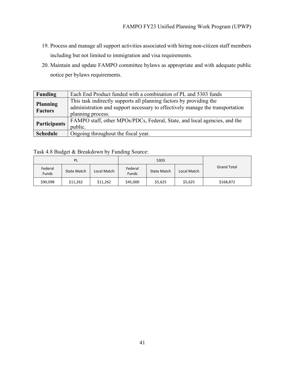- 19. Process and manage all support activities associated with hiring non-citizen staff members including but not limited to immigration and visa requirements.
- 20. Maintain and update FAMPO committee bylaws as appropriate and with adequate public notice per bylaws requirements.

| <b>Funding</b>                    | Each End Product funded with a combination of PL and 5303 funds               |
|-----------------------------------|-------------------------------------------------------------------------------|
|                                   | This task indirectly supports all planning factors by providing the           |
| <b>Planning</b><br><b>Factors</b> | administration and support necessary to effectively manage the transportation |
|                                   | planning process.                                                             |
| <b>Participants</b>               | FAMPO staff, other MPOs/PDCs, Federal, State, and local agencies, and the     |
|                                   | public.                                                                       |
| <b>Schedule</b>                   | Ongoing throughout the fiscal year.                                           |

Task 4.8 Budget & Breakdown by Funding Source:

| PL                      |                                   |  |                         | 5303        |         |                    |  |
|-------------------------|-----------------------------------|--|-------------------------|-------------|---------|--------------------|--|
| Federal<br><b>Funds</b> | <b>State Match</b><br>Local Match |  | Federal<br><b>Funds</b> | State Match |         | <b>Grand Total</b> |  |
| \$90,098                | \$11,262<br>\$11,262              |  | \$45,000                | \$5,625     | \$5,625 | \$168,872          |  |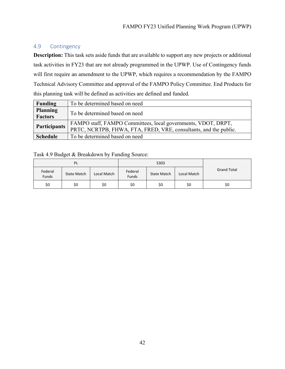#### <span id="page-41-0"></span>4.9 Contingency

**Description:** This task sets aside funds that are available to support any new projects or additional task activities in FY23 that are not already programmed in the UPWP. Use of Contingency funds will first require an amendment to the UPWP, which requires a recommendation by the FAMPO Technical Advisory Committee and approval of the FAMPO Policy Committee. End Products for this planning task will be defined as activities are defined and funded.

| Funding         | To be determined based on need                                   |
|-----------------|------------------------------------------------------------------|
| <b>Planning</b> | To be determined based on need                                   |
| <b>Factors</b>  |                                                                  |
| Participants    | FAMPO staff, FAMPO Committees, local governments, VDOT, DRPT,    |
|                 | PRTC, NCRTPB, FHWA, FTA, FRED, VRE, consultants, and the public. |
| <b>Schedule</b> | To be determined based on need                                   |

Task 4.9 Budget & Breakdown by Funding Source:

| PL               |                    |             |     | 5303               |             |                    |  |
|------------------|--------------------|-------------|-----|--------------------|-------------|--------------------|--|
| Federal<br>Funds | <b>State Match</b> | Local Match |     | <b>State Match</b> | Local Match | <b>Grand Total</b> |  |
| \$0              | \$0                | \$0         | \$0 | \$0                | \$0         | \$0                |  |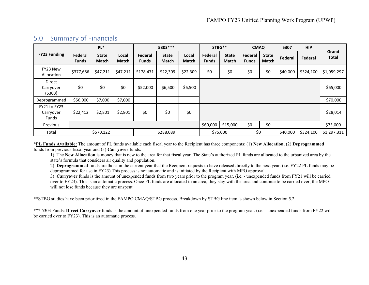|                                    | PL*                     |                       | 5303 ***              |                         | STBG**                       |                       | <b>CMAQ</b>             |                              | 5307                    | <b>HIP</b>                   |          |           |                       |
|------------------------------------|-------------------------|-----------------------|-----------------------|-------------------------|------------------------------|-----------------------|-------------------------|------------------------------|-------------------------|------------------------------|----------|-----------|-----------------------|
| <b>FY23 Funding</b>                | Federal<br><b>Funds</b> | <b>State</b><br>Match | Local<br><b>Match</b> | Federal<br><b>Funds</b> | <b>State</b><br><b>Match</b> | Local<br><b>Match</b> | Federal<br><b>Funds</b> | <b>State</b><br><b>Match</b> | Federal<br><b>Funds</b> | <b>State</b><br><b>Match</b> | Federal  | Federal   | Grand<br><b>Total</b> |
| FY23 New<br>Allocation             | \$377,686               | \$47,211              | \$47,211              | \$178,471               | \$22,309                     | \$22,309              | \$0                     | \$0                          | \$0                     | \$0                          | \$40,000 | \$324,100 | \$1,059,297           |
| Direct<br>Carryover<br>(5303)      | \$0                     | \$0                   | \$0                   | \$52,000                | \$6,500                      | \$6,500               |                         |                              |                         |                              |          |           | \$65,000              |
| Deprogrammed                       | \$56,000                | \$7,000               | \$7,000               |                         |                              |                       |                         |                              |                         |                              |          |           | \$70,000              |
| FY21 to FY23<br>Carryover<br>Funds | \$22,412                | \$2,801               | \$2,801               | \$0                     | \$0                          | \$0                   |                         |                              |                         |                              |          |           | \$28,014              |
| Previous                           |                         |                       |                       |                         |                              |                       | \$60,000                | \$15,000                     | \$0                     | \$0                          |          |           | \$75,000              |
| Total                              |                         | \$570,122             |                       |                         | \$288,089                    |                       |                         | \$75,000                     | \$0                     |                              | \$40,000 | \$324,100 | \$1,297,311           |

### 5.0 Summary of Financials

<span id="page-42-0"></span>\***PL Funds Available:** The amount of PL funds available each fiscal year to the Recipient has three components: (1) **New Allocation**, (2) **Deprogrammed** funds from previous fiscal year and (3) **Carryover** funds.

1) The **New Allocation** is money that is new to the area for that fiscal year. The State's authorized PL funds are allocated to the urbanized area by the state's formula that considers air quality and population.

2) **Deprogrammed** funds are those in the current year that the Recipient requests to have released directly to the next year. (i.e. FY22 PL funds may be deprogrammed for use in FY23) This process is not automatic and is initiated by the Recipient with MPO approval.

3) **Carryover** funds is the amount of unexpended funds from two years prior to the program year. (i.e. - unexpended funds from FY21 will be carried over to FY23). This is an automatic process. Once PL funds are allocated to an area, they stay with the area and continue to be carried over; the MPO will not lose funds because they are unspent.

\*\*STBG studies have been prioritized in the FAMPO CMAQ/STBG process. Breakdown by STBG line item is shown below in Section 5.2.

\*\*\* 5303 Funds: **Direct Carryover** funds is the amount of unexpended funds from one year prior to the program year. (i.e. - unexpended funds from FY22 will be carried over to FY23). This is an automatic process.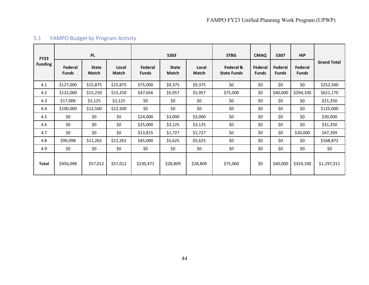<span id="page-43-0"></span>

| <b>FY23</b>    | <b>PL</b>               |                              |                | 5303                    |                              |                       | <b>STBG</b>                     | <b>CMAQ</b>             | 5307                    | <b>HIP</b>              |                    |
|----------------|-------------------------|------------------------------|----------------|-------------------------|------------------------------|-----------------------|---------------------------------|-------------------------|-------------------------|-------------------------|--------------------|
| <b>Funding</b> | Federal<br><b>Funds</b> | <b>State</b><br><b>Match</b> | Local<br>Match | Federal<br><b>Funds</b> | <b>State</b><br><b>Match</b> | Local<br><b>Match</b> | Federal &<br><b>State Funds</b> | Federal<br><b>Funds</b> | Federal<br><b>Funds</b> | Federal<br><b>Funds</b> | <b>Grand Total</b> |
| 4.1            | \$127,000               | \$15,875                     | \$15,875       | \$75,000                | \$9,375                      | \$9,375               | \$0                             | \$0                     | \$0                     | \$0                     | \$252,500          |
| 4.2            | \$122,000               | \$15,250                     | \$15,250       | \$47,656                | \$5,957                      | \$5,957               | \$75,000                        | \$0                     | \$40,000                | \$294,100               | \$621,170          |
| 4.3            | \$17,000                | \$2,125                      | \$2,125        | \$0                     | \$0                          | \$0                   | \$0                             | \$0                     | \$0                     | \$0                     | \$21,250           |
| 4.4            | \$100,000               | \$12,500                     | \$12,500       | \$0                     | \$0                          | \$0                   | \$0                             | \$0                     | \$0                     | \$0                     | \$125,000          |
| 4.5            | \$0                     | \$0                          | \$0            | \$24,000                | \$3,000                      | \$3,000               | \$0                             | \$0                     | \$0                     | \$0                     | \$30,000           |
| 4.6            | \$0                     | \$0                          | \$0            | \$25,000                | \$3,125                      | \$3,125               | \$0                             | \$0                     | \$0                     | \$0                     | \$31,250           |
| 4.7            | \$0                     | \$0                          | \$0            | \$13,815                | \$1,727                      | \$1,727               | \$0                             | \$0                     | \$0                     | \$30,000                | \$47,269           |
| 4.8            | \$90,098                | \$11,262                     | \$11,262       | \$45,000                | \$5,625                      | \$5,625               | \$0                             | \$0                     | \$0                     | \$0                     | \$168,872          |
| 4.9            | \$0                     | \$0                          | \$0            | \$0                     | \$0                          | \$0                   | \$0                             | \$0                     | \$0                     | \$0                     | \$0                |
| Total          | \$456,098               | \$57,012                     | \$57,012       | \$230,471               | \$28,809                     | \$28,809              | \$75,000                        | \$0                     | \$40,000                | \$324,100               | \$1,297,311        |

# 5.1 FAMPO Budget by Program Activity